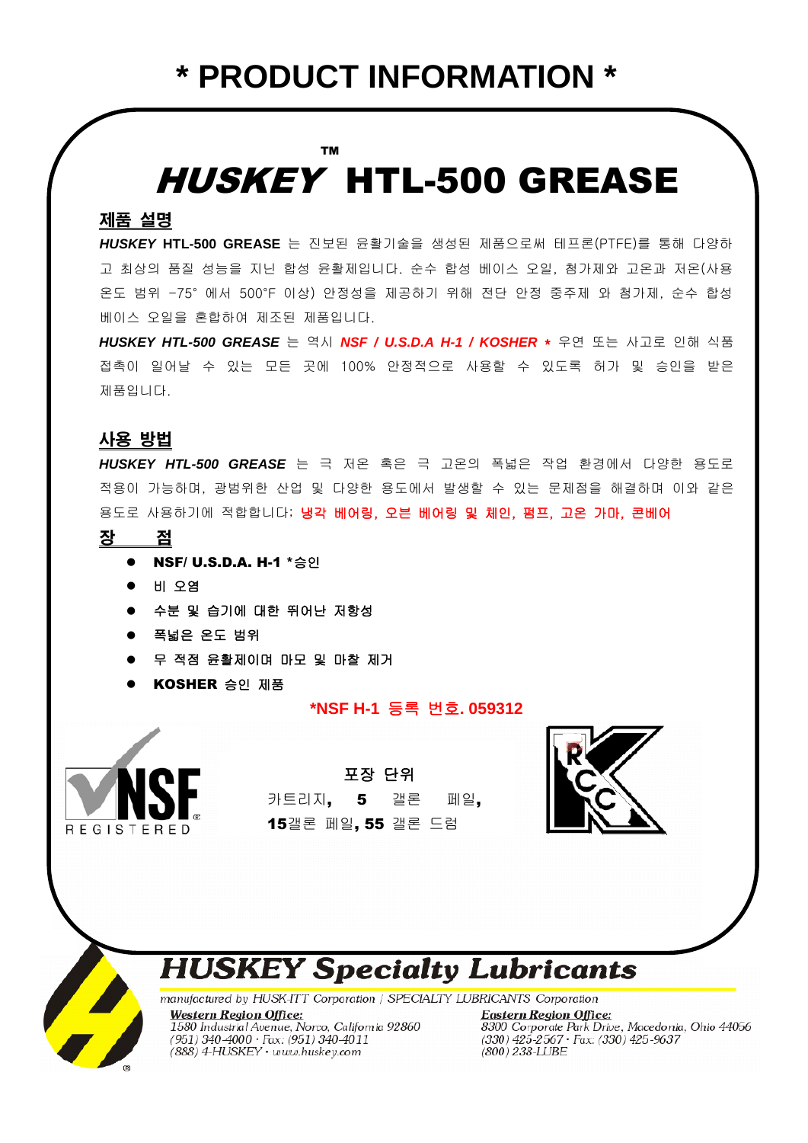## HUSKEY HTL-500 GREASE ™

## 제품 설명

*HUSKEY* **HTL-500 GREASE** 는 진보된 윤활기술을 생성된 제품으로써 테프론(PTFE)를 통해 다양하 고 최상의 품질 성능을 지닌 합성 윤활제입니다. 순수 합성 베이스 오일, 첨가제와 고온과 저온(사용 온도 범위 -75° 에서 500°F 이상) 안정성을 제공하기 위해 전단 안정 중주제 와 첨가제, 순수 합성 베이스 오일을 혼합하여 제조된 제품입니다.

*HUSKEY HTL-500 GREASE* 는 역시 *NSF / U.S.D.A H-1 / KOSHER* \* 우연 또는 사고로 인해 식품 접촉이 일어날 수 있는 모든 곳에 100% 안정적으로 사용할 수 있도록 허가 및 승인을 받은 제품입니다.

## 사용 방법

*HUSKEY HTL-500 GREASE* 는 극 저온 혹은 극 고온의 폭넓은 작업 환경에서 다양한 용도로 적용이 가능하며, 광범위한 산업 및 다양한 용도에서 발생할 수 있는 문제점을 해결하며 이와 같은 용도로 사용하기에 적합합니다; 냉각 베어링, 오븐 베어링 및 체인, 펌프, 고온 가마, 콘베어

- 장 점
	- **NSF/ U.S.D.A. H-1 \*승인**
	- 비 오염
	- 수분 및 습기에 대한 뛰어난 저항성
	- 폭넓은 온도 범위
	- 무 적점 윤활제이며 마모 및 마찰 제거
	- KOSHER 승인 제품

### **\*NSF H-1** 등록 번호**. 059312**



포장 단위 카트리지, 5 갤론 페일, 15갤론 페일, 55 갤론 드럼



# **HUSKEY Specialty Lubricants**<br>manufactured by HUSK-ITT Corporation / SPECIALTY LUBRICANTS Corporation

**Western Region Office:** 1580 Industrial Avenue, Norco, California 92860 (951) 340-4000 • Fax: (951) 340-4011<br>(888) 4-HUSKEY • www.huskey.com

**Eastern Region Office:** 8300 Corporate Park Drive, Macedonia, Ohio 44056<br>(330) 425-2567 · Fax: (330) 425-9637 (800) 238-LUBE